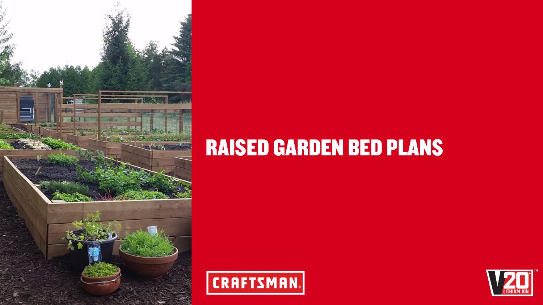

# RAISED GARDEN BED PLANS





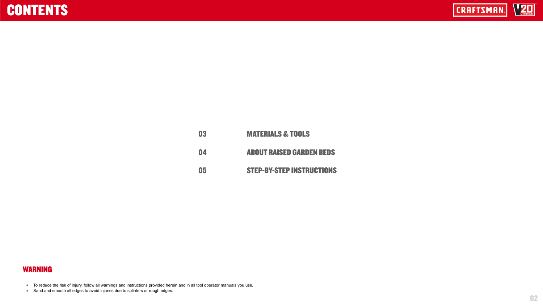### CONTENTS

| 03 | <b>MA</b>  |
|----|------------|
| 04 | <b>ABC</b> |
| 05 | <b>STE</b> |

02

- To reduce the risk of injury, follow all warnings and instructions provided herein and in all tool operator manuals you use.
- Sand and smooth all edges to avoid injuries due to splinters or rough edges.



### **TERIALS & TOOLS**

#### **OUT RAISED GARDEN BEDS**

#### **EP-BY-STEP INSTRUCTIONS**



#### WARNING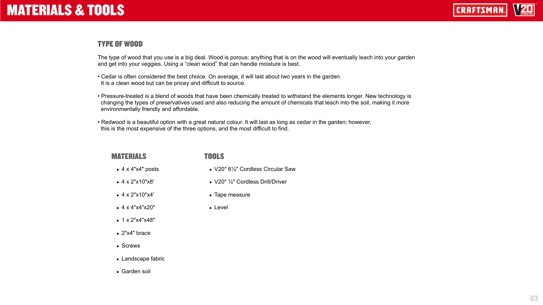### MATERIALS & TOOLS

#### MATERIALS

- $\bullet$  4 x 4"x4" posts
- 4 x 2"x10"x8'
- $\bullet$  4 x 2"x10"x4'
- $\bullet$  4 x 4"x4"x20"
- $\bullet$  1 x 2"x4"x48"
- 2"x4" brace
- Screws
- Landscape fabric
- Garden soil

#### TOOLS

- V20\* 6½" Cordless Circular Saw
- $V20$ <sup>\*</sup>  $\frac{1}{2}$ " Cordless Drill/Driver
- Tape measure
- Level



03

The type of wood that you use is a big deal. Wood is porous; anything that is on the wood will eventually leach into your garden and get into your veggies. Using a "clean wood" that can handle moisture is best.

• Pressure-treated is a blend of woods that have been chemically treated to withstand the elements longer. New technology is changing the types of preservatives used and also reducing the amount of chemicals that leach into the soil, making it more



- Cedar is often considered the best choice. On average, it will last about two years in the garden. It is a clean wood but can be pricey and difficult to source.
- environmentally friendly and affordable.
- Redwood is a beautiful option with a great natural colour. It will last as long as cedar in the garden; however, this is the most expensive of the three options, and the most difficult to find.

### TYPE OF WOOD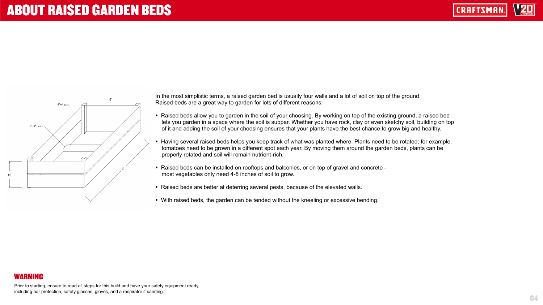### ABOUT RAISED GARDEN BEDS



04

Prior to starting, ensure to read all steps for this build and have your safety equipment ready, including ear protection, safety glasses, gloves, and a respirator if sanding.

#### WARNING

In the most simplistic terms, a raised garden bed is usually four walls and a lot of soil on top of the ground. Raised beds are a great way to garden for lots of different reasons:

• Raised beds allow you to garden in the soil of your choosing. By working on top of the existing ground, a raised bed lets you garden in a space where the soil is subpar. Whether you have rock, clay or even sketchy soil, building on top of it and adding the soil of your choosing ensures that your plants have the best chance to grow big and healthy.

• Having several raised beds helps you keep track of what was planted where. Plants need to be rotated; for example, tomatoes need to be grown in a different spot each year. By moving them around the garden beds, plants can be

• Raised beds can be installed on rooftops and balconies, or on top of gravel and concrete -

- 
- properly rotated and soil will remain nutrient-rich.
- most vegetables only need 4-8 inches of soil to grow.
- 
- 

• Raised beds are better at deterring several pests, because of the elevated walls.

• With raised beds, the garden can be tended without the kneeling or excessive bending.

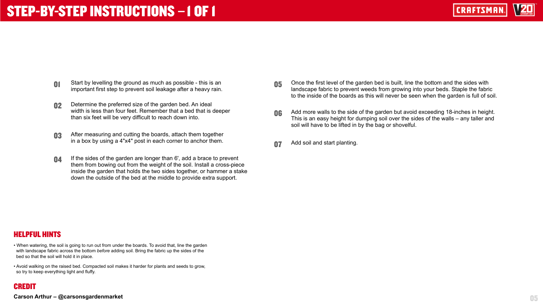## STEP-BY-STEP INSTRUCTIONS **–**1 OF 1

| 01 | Start by levelling the ground as much as possible - this is an   |
|----|------------------------------------------------------------------|
|    | important first step to prevent soil leakage after a heavy rain. |

05

- 02 Determine the preferred size of the garden bed. An ideal width is less than four feet. Remember that a bed that is deeper than six feet will be very difficult to reach down into.
- **03** After measuring and cutting the boards, attach them together in a box by using a 4"x4" post in each corner to anchor them.
- **04** If the sides of the garden are longer than 6', add a brace to prevent them from bowing out from the weight of the soil. Install a cross-piece inside the garden that holds the two sides together, or hammer a stake down the outside of the bed at the middle to provide extra support.

- When watering, the soil is going to run out from under the boards. To avoid that, line the garden with landscape fabric across the bottom *before* adding soil. Bring the fabric up the sides of the bed so that the soil will hold it in place.
- Avoid walking on the raised bed. Compacted soil makes it harder for plants and seeds to grow, so try to keep everything light and fluffy.

#### HELPFUL HINTS

#### **Carson Arthur – @carsonsgardenmarket**

- **05** Once the first level of the garden bed is built, line the bottom and the sides with landscape fabric to prevent weeds from growing into your beds. Staple the fabric to the inside of the boards as this will never be seen when the garden is full of soil.
- **06** Add more walls to the side of the garden but avoid exceeding 18-inches in height. This is an easy height for dumping soil over the sides of the walls – any taller and soil will have to be lifted in by the bag or shovelful.
- **07** Add soil and start planting.



#### CREDIT